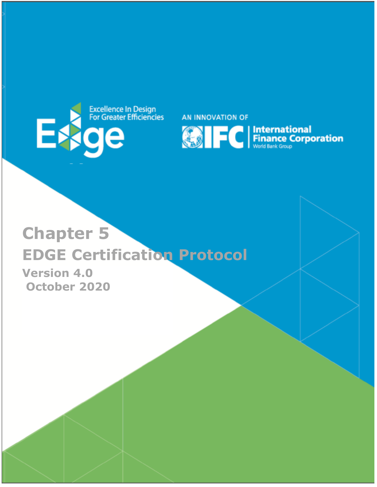

AN INNOVATION OF



# **Chapter 5 EDGE Certification Protocol**

**Version 4.0 October 2020**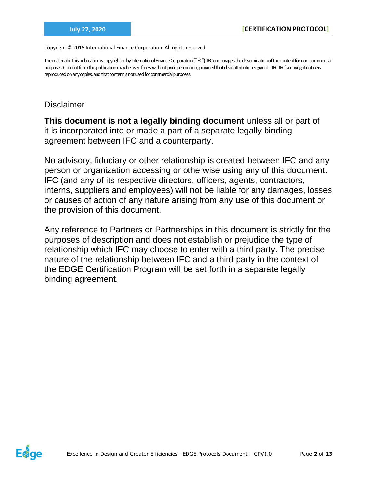Copyright © 2015 International Finance Corporation. All rights reserved.

The material in this publication is copyrighted by International Finance Corporation ("IFC"). IFC encourages the dissemination of the content for non-commercial purposes. Content from this publication may be used freely without prior permission, provided that clear attribution is given to IFC, IFC's copyright notice is reproduced on any copies, and that content is not used for commercial purposes.

## Disclaimer

**This document is not a legally binding document** unless all or part of it is incorporated into or made a part of a separate legally binding agreement between IFC and a counterparty.

No advisory, fiduciary or other relationship is created between IFC and any person or organization accessing or otherwise using any of this document. IFC (and any of its respective directors, officers, agents, contractors, interns, suppliers and employees) will not be liable for any damages, losses or causes of action of any nature arising from any use of this document or the provision of this document.

Any reference to Partners or Partnerships in this document is strictly for the purposes of description and does not establish or prejudice the type of relationship which IFC may choose to enter with a third party. The precise nature of the relationship between IFC and a third party in the context of the EDGE Certification Program will be set forth in a separate legally binding agreement.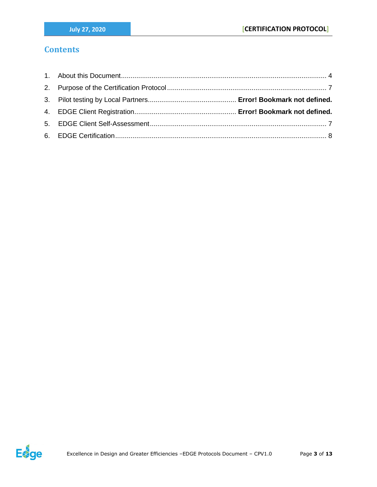## **Contents**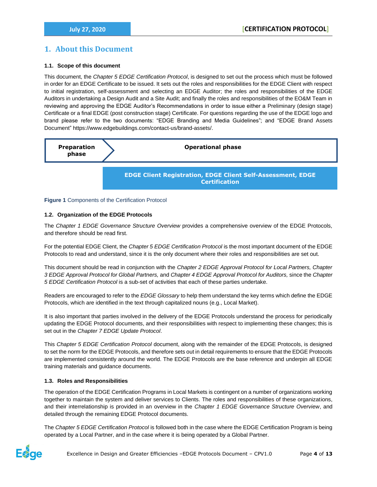## <span id="page-3-0"></span>**1. About this Document**

#### **1.1. Scope of this document**

This document, the *Chapter 5 EDGE Certification Protocol*, is designed to set out the process which must be followed in order for an EDGE Certificate to be issued. It sets out the roles and responsibilities for the EDGE Client with respect to initial registration, self-assessment and selecting an EDGE Auditor; the roles and responsibilities of the EDGE Auditors in undertaking a Design Audit and a Site Audit; and finally the roles and responsibilities of the EO&M Team in reviewing and approving the EDGE Auditor's Recommendations in order to issue either a Preliminary (design stage) Certificate or a final EDGE (post construction stage) Certificate. For questions regarding the use of the EDGE logo and brand please refer to the two documents: "EDGE Branding and Media Guidelines"; and "EDGE Brand Assets Document" https://www.edgebuildings.com/contact-us/brand-assets/.



#### **Figure 1** Components of the Certification Protocol

#### **1.2. Organization of the EDGE Protocols**

The *Chapter 1 EDGE Governance Structure Overview* provides a comprehensive overview of the EDGE Protocols, and therefore should be read first.

For the potential EDGE Client, the *Chapter 5 EDGE Certification Protocol* is the most important document of the EDGE Protocols to read and understand, since it is the only document where their roles and responsibilities are set out.

This document should be read in conjunction with the *Chapter 2 EDGE Approval Protocol for Local Partners, Chapter 3 EDGE Approval Protocol for Global Partners,* and *Chapter 4 EDGE Approval Protocol for Auditors,* since the *Chapter 5 EDGE Certification Protocol* is a sub-set of activities that each of these parties undertake.

Readers are encouraged to refer to the *EDGE Glossary* to help them understand the key terms which define the EDGE Protocols, which are identified in the text through capitalized nouns (e.g., Local Market).

It is also important that parties involved in the delivery of the EDGE Protocols understand the process for periodically updating the EDGE Protocol documents, and their responsibilities with respect to implementing these changes; this is set out in the *Chapter 7 EDGE Update Protocol*.

This *Chapter 5 EDGE Certification Protocol* document, along with the remainder of the EDGE Protocols, is designed to set the norm for the EDGE Protocols, and therefore sets out in detail requirements to ensure that the EDGE Protocols are implemented consistently around the world. The EDGE Protocols are the base reference and underpin all EDGE training materials and guidance documents.

#### **1.3. Roles and Responsibilities**

The operation of the EDGE Certification Programs in Local Markets is contingent on a number of organizations working together to maintain the system and deliver services to Clients. The roles and responsibilities of these organizations, and their interrelationship is provided in an overview in the *Chapter 1 EDGE Governance Structure Overview*, and detailed through the remaining EDGE Protocol documents.

The *Chapter 5 EDGE Certification Protocol* is followed both in the case where the EDGE Certification Program is being operated by a Local Partner, and in the case where it is being operated by a Global Partner.

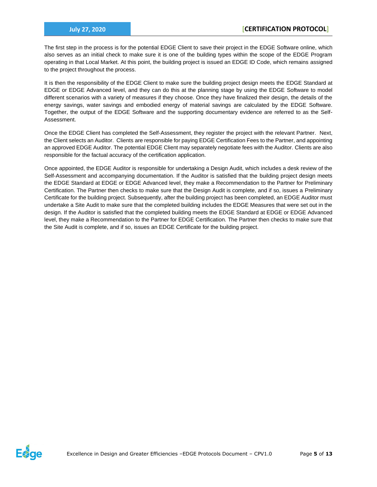The first step in the process is for the potential EDGE Client to save their project in the EDGE Software online, which also serves as an initial check to make sure it is one of the building types within the scope of the EDGE Program operating in that Local Market. At this point, the building project is issued an EDGE ID Code, which remains assigned to the project throughout the process.

It is then the responsibility of the EDGE Client to make sure the building project design meets the EDGE Standard at EDGE or EDGE Advanced level, and they can do this at the planning stage by using the EDGE Software to model different scenarios with a variety of measures if they choose. Once they have finalized their design, the details of the energy savings, water savings and embodied energy of material savings are calculated by the EDGE Software. Together, the output of the EDGE Software and the supporting documentary evidence are referred to as the Self-Assessment.

Once the EDGE Client has completed the Self-Assessment, they register the project with the relevant Partner. Next, the Client selects an Auditor. Clients are responsible for paying EDGE Certification Fees to the Partner, and appointing an approved EDGE Auditor. The potential EDGE Client may separately negotiate fees with the Auditor. Clients are also responsible for the factual accuracy of the certification application.

Once appointed, the EDGE Auditor is responsible for undertaking a Design Audit, which includes a desk review of the Self-Assessment and accompanying documentation. If the Auditor is satisfied that the building project design meets the EDGE Standard at EDGE or EDGE Advanced level, they make a Recommendation to the Partner for Preliminary Certification. The Partner then checks to make sure that the Design Audit is complete, and if so, issues a Preliminary Certificate for the building project. Subsequently, after the building project has been completed, an EDGE Auditor must undertake a Site Audit to make sure that the completed building includes the EDGE Measures that were set out in the design. If the Auditor is satisfied that the completed building meets the EDGE Standard at EDGE or EDGE Advanced level, they make a Recommendation to the Partner for EDGE Certification. The Partner then checks to make sure that the Site Audit is complete, and if so, issues an EDGE Certificate for the building project.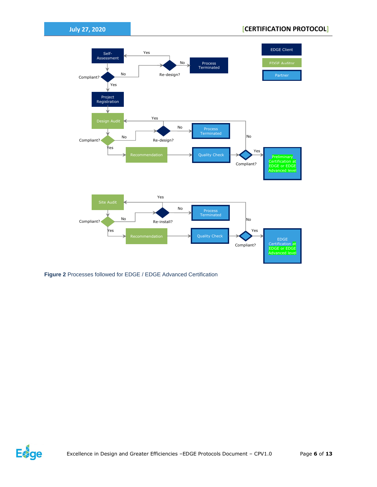

**Figure 2** Processes followed for EDGE / EDGE Advanced Certification

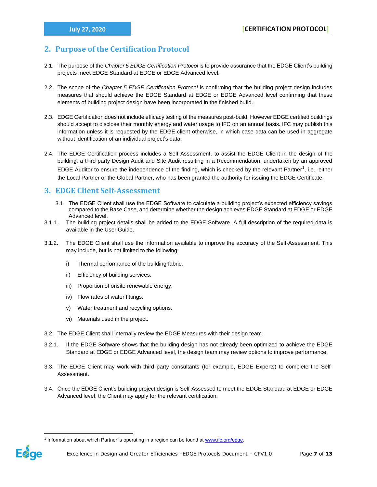### <span id="page-6-0"></span>**2. Purpose of the Certification Protocol**

- 2.1. The purpose of the *Chapter 5 EDGE Certification Protocol* is to provide assurance that the EDGE Client's building projects meet EDGE Standard at EDGE or EDGE Advanced level.
- 2.2. The scope of the *Chapter 5 EDGE Certification Protocol* is confirming that the building project design includes measures that should achieve the EDGE Standard at EDGE or EDGE Advanced level confirming that these elements of building project design have been incorporated in the finished build.
- 2.3. EDGE Certification does not include efficacy testing of the measures post-build. However EDGE certified buildings should accept to disclose their monthly energy and water usage to IFC on an annual basis. IFC may publish this information unless it is requested by the EDGE client otherwise, in which case data can be used in aggregate without identification of an individual project's data.
- 2.4. The EDGE Certification process includes a Self-Assessment, to assist the EDGE Client in the design of the building, a third party Design Audit and Site Audit resulting in a Recommendation, undertaken by an approved EDGE Auditor to ensure the independence of the finding, which is checked by the relevant Partner<sup>1</sup>, i.e., either the Local Partner or the Global Partner, who has been granted the authority for issuing the EDGE Certificate.

#### <span id="page-6-1"></span>**3. EDGE Client Self-Assessment**

- 3.1. The EDGE Client shall use the EDGE Software to calculate a building project's expected efficiency savings compared to the Base Case, and determine whether the design achieves EDGE Standard at EDGE or EDGE Advanced level.
- 3.1.1. The building project details shall be added to the EDGE Software. A full description of the required data is available in the User Guide.
- 3.1.2. The EDGE Client shall use the information available to improve the accuracy of the Self-Assessment. This may include, but is not limited to the following:
	- i) Thermal performance of the building fabric.
	- ii) Efficiency of building services.
	- iii) Proportion of onsite renewable energy.
	- iv) Flow rates of water fittings.
	- v) Water treatment and recycling options.
	- vi) Materials used in the project.
- 3.2. The EDGE Client shall internally review the EDGE Measures with their design team.
- 3.2.1. If the EDGE Software shows that the building design has not already been optimized to achieve the EDGE Standard at EDGE or EDGE Advanced level, the design team may review options to improve performance.
- 3.3. The EDGE Client may work with third party consultants (for example, EDGE Experts) to complete the Self-Assessment.
- 3.4. Once the EDGE Client's building project design is Self-Assessed to meet the EDGE Standard at EDGE or EDGE Advanced level, the Client may apply for the relevant certification.

<sup>&</sup>lt;sup>1</sup> Information about which Partner is operating in a region can be found at www.ifc.org/edge.

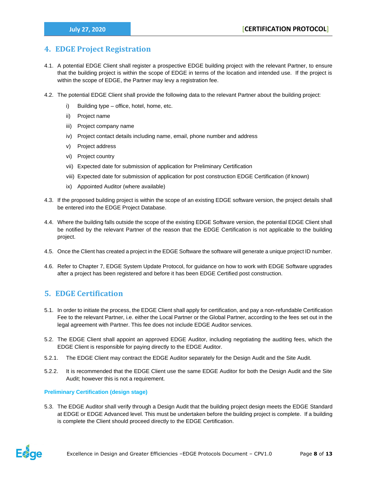## <span id="page-7-0"></span>**4. EDGE Project Registration**

- 4.1. A potential EDGE Client shall register a prospective EDGE building project with the relevant Partner, to ensure that the building project is within the scope of EDGE in terms of the location and intended use. If the project is within the scope of EDGE, the Partner may levy a registration fee.
- 4.2. The potential EDGE Client shall provide the following data to the relevant Partner about the building project:
	- i) Building type office, hotel, home, etc.
	- ii) Project name
	- iii) Project company name
	- iv) Project contact details including name, email, phone number and address
	- v) Project address
	- vi) Project country
	- vii) Expected date for submission of application for Preliminary Certification
	- viii) Expected date for submission of application for post construction EDGE Certification (if known)
	- ix) Appointed Auditor (where available)
- 4.3. If the proposed building project is within the scope of an existing EDGE software version, the project details shall be entered into the EDGE Project Database.
- 4.4. Where the building falls outside the scope of the existing EDGE Software version, the potential EDGE Client shall be notified by the relevant Partner of the reason that the EDGE Certification is not applicable to the building project.
- 4.5. Once the Client has created a project in the EDGE Software the software will generate a unique project ID number.
- 4.6. Refer to Chapter 7, EDGE System Update Protocol, for guidance on how to work with EDGE Software upgrades after a project has been registered and before it has been EDGE Certified post construction.

## **5. EDGE Certification**

- 5.1. In order to initiate the process, the EDGE Client shall apply for certification, and pay a non-refundable Certification Fee to the relevant Partner, i.e. either the Local Partner or the Global Partner, according to the fees set out in the legal agreement with Partner. This fee does not include EDGE Auditor services.
- 5.2. The EDGE Client shall appoint an approved EDGE Auditor, including negotiating the auditing fees, which the EDGE Client is responsible for paying directly to the EDGE Auditor.
- 5.2.1. The EDGE Client may contract the EDGE Auditor separately for the Design Audit and the Site Audit.
- 5.2.2. It is recommended that the EDGE Client use the same EDGE Auditor for both the Design Audit and the Site Audit; however this is not a requirement.

#### **Preliminary Certification (design stage)**

5.3. The EDGE Auditor shall verify through a Design Audit that the building project design meets the EDGE Standard at EDGE or EDGE Advanced level. This must be undertaken before the building project is complete. If a building is complete the Client should proceed directly to the EDGE Certification.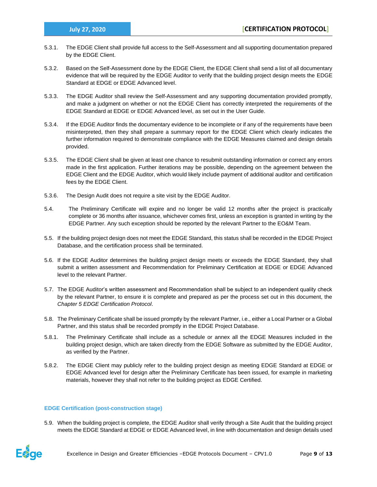- 5.3.1. The EDGE Client shall provide full access to the Self-Assessment and all supporting documentation prepared by the EDGE Client.
- 5.3.2. Based on the Self-Assessment done by the EDGE Client, the EDGE Client shall send a list of all documentary evidence that will be required by the EDGE Auditor to verify that the building project design meets the EDGE Standard at EDGE or EDGE Advanced level.
- 5.3.3. The EDGE Auditor shall review the Self-Assessment and any supporting documentation provided promptly, and make a judgment on whether or not the EDGE Client has correctly interpreted the requirements of the EDGE Standard at EDGE or EDGE Advanced level, as set out in the User Guide.
- 5.3.4. If the EDGE Auditor finds the documentary evidence to be incomplete or if any of the requirements have been misinterpreted, then they shall prepare a summary report for the EDGE Client which clearly indicates the further information required to demonstrate compliance with the EDGE Measures claimed and design details provided.
- 5.3.5. The EDGE Client shall be given at least one chance to resubmit outstanding information or correct any errors made in the first application. Further iterations may be possible, depending on the agreement between the EDGE Client and the EDGE Auditor, which would likely include payment of additional auditor and certification fees by the EDGE Client.
- 5.3.6. The Design Audit does not require a site visit by the EDGE Auditor.
- 5.4. The Preliminary Certificate will expire and no longer be valid 12 months after the project is practically complete or 36 months after issuance, whichever comes first, unless an exception is granted in writing by the EDGE Partner. Any such exception should be reported by the relevant Partner to the EO&M Team.
- 5.5. If the building project design does not meet the EDGE Standard, this status shall be recorded in the EDGE Project Database, and the certification process shall be terminated.
- 5.6. If the EDGE Auditor determines the building project design meets or exceeds the EDGE Standard, they shall submit a written assessment and Recommendation for Preliminary Certification at EDGE or EDGE Advanced level to the relevant Partner.
- 5.7. The EDGE Auditor's written assessment and Recommendation shall be subject to an independent quality check by the relevant Partner, to ensure it is complete and prepared as per the process set out in this document, the *Chapter 5 EDGE Certification Protocol*.
- 5.8. The Preliminary Certificate shall be issued promptly by the relevant Partner, i.e., either a Local Partner or a Global Partner, and this status shall be recorded promptly in the EDGE Project Database.
- 5.8.1. The Preliminary Certificate shall include as a schedule or annex all the EDGE Measures included in the building project design, which are taken directly from the EDGE Software as submitted by the EDGE Auditor, as verified by the Partner.
- 5.8.2. The EDGE Client may publicly refer to the building project design as meeting EDGE Standard at EDGE or EDGE Advanced level for design after the Preliminary Certificate has been issued, for example in marketing materials, however they shall not refer to the building project as EDGE Certified.

#### **EDGE Certification (post-construction stage)**

5.9. When the building project is complete, the EDGE Auditor shall verify through a Site Audit that the building project meets the EDGE Standard at EDGE or EDGE Advanced level, in line with documentation and design details used

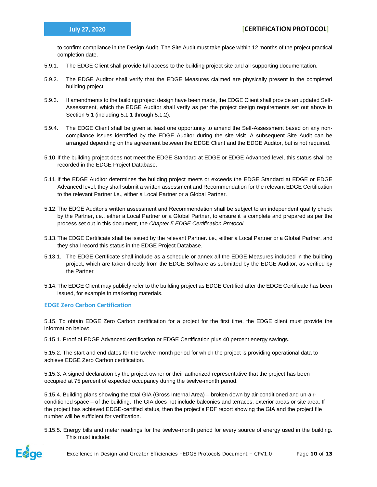to confirm compliance in the Design Audit. The Site Audit must take place within 12 months of the project practical completion date.

- 5.9.1. The EDGE Client shall provide full access to the building project site and all supporting documentation.
- 5.9.2. The EDGE Auditor shall verify that the EDGE Measures claimed are physically present in the completed building project.
- 5.9.3. If amendments to the building project design have been made, the EDGE Client shall provide an updated Self-Assessment, which the EDGE Auditor shall verify as per the project design requirements set out above in Section 5.1 (including 5.1.1 through 5.1.2).
- 5.9.4. The EDGE Client shall be given at least one opportunity to amend the Self-Assessment based on any noncompliance issues identified by the EDGE Auditor during the site visit. A subsequent Site Audit can be arranged depending on the agreement between the EDGE Client and the EDGE Auditor, but is not required.
- 5.10.If the building project does not meet the EDGE Standard at EDGE or EDGE Advanced level, this status shall be recorded in the EDGE Project Database.
- 5.11.If the EDGE Auditor determines the building project meets or exceeds the EDGE Standard at EDGE or EDGE Advanced level, they shall submit a written assessment and Recommendation for the relevant EDGE Certification to the relevant Partner i.e., either a Local Partner or a Global Partner.
- 5.12.The EDGE Auditor's written assessment and Recommendation shall be subject to an independent quality check by the Partner, i.e., either a Local Partner or a Global Partner, to ensure it is complete and prepared as per the process set out in this document, the *Chapter 5 EDGE Certification Protocol*.
- 5.13.The EDGE Certificate shall be issued by the relevant Partner. i.e., either a Local Partner or a Global Partner, and they shall record this status in the EDGE Project Database.
- 5.13.1. The EDGE Certificate shall include as a schedule or annex all the EDGE Measures included in the building project, which are taken directly from the EDGE Software as submitted by the EDGE Auditor, as verified by the Partner
- 5.14.The EDGE Client may publicly refer to the building project as EDGE Certified after the EDGE Certificate has been issued, for example in marketing materials.

**EDGE Zero Carbon Certification** 

5.15. To obtain EDGE Zero Carbon certification for a project for the first time, the EDGE client must provide the information below:

5.15.1. Proof of EDGE Advanced certification or EDGE Certification plus 40 percent energy savings.

5.15.2. The start and end dates for the twelve month period for which the project is providing operational data to achieve EDGE Zero Carbon certification.

5.15.3. A signed declaration by the project owner or their authorized representative that the project has been occupied at 75 percent of expected occupancy during the twelve-month period.

5.15.4. Building plans showing the total GIA (Gross Internal Area) – broken down by air-conditioned and un-airconditioned space – of the building. The GIA does not include balconies and terraces, exterior areas or site area. If the project has achieved EDGE-certified status, then the project's PDF report showing the GIA and the project file number will be sufficient for verification.

5.15.5. Energy bills and meter readings for the twelve-month period for every source of energy used in the building. This must include: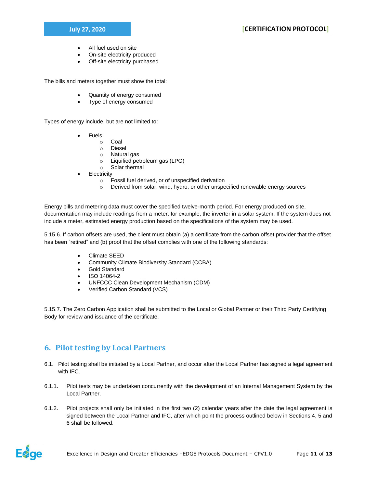- All fuel used on site
- On-site electricity produced
- Off-site electricity purchased

The bills and meters together must show the total:

- Quantity of energy consumed
- Type of energy consumed

Types of energy include, but are not limited to:

- **Fuels** 
	- o Coal
	- o Diesel
	- o Natural gas
	- o Liquified petroleum gas (LPG)
	- o Solar thermal
- **Electricity** 
	- o Fossil fuel derived, or of unspecified derivation
	- $\circ$  Derived from solar, wind, hydro, or other unspecified renewable energy sources

Energy bills and metering data must cover the specified twelve-month period. For energy produced on site, documentation may include readings from a meter, for example, the inverter in a solar system. If the system does not include a meter, estimated energy production based on the specifications of the system may be used.

5.15.6. If carbon offsets are used, the client must obtain (a) a certificate from the carbon offset provider that the offset has been "retired" and (b) proof that the offset complies with one of the following standards:

- Climate SEED
- Community Climate Biodiversity Standard (CCBA)
- Gold Standard
- ISO 14064-2
- UNFCCC Clean Development Mechanism (CDM)
- Verified Carbon Standard (VCS)

5.15.7. The Zero Carbon Application shall be submitted to the Local or Global Partner or their Third Party Certifying Body for review and issuance of the certificate.

## **6. Pilot testing by Local Partners**

- 6.1. Pilot testing shall be initiated by a Local Partner, and occur after the Local Partner has signed a legal agreement with IFC.
- 6.1.1. Pilot tests may be undertaken concurrently with the development of an Internal Management System by the Local Partner.
- 6.1.2. Pilot projects shall only be initiated in the first two (2) calendar years after the date the legal agreement is signed between the Local Partner and IFC, after which point the process outlined below in Sections 4, 5 and 6 shall be followed.

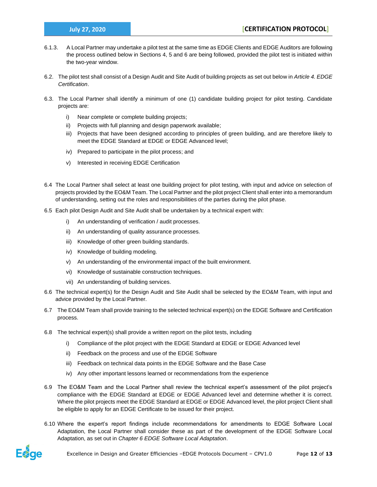- 6.1.3. A Local Partner may undertake a pilot test at the same time as EDGE Clients and EDGE Auditors are following the process outlined below in Sections 4, 5 and 6 are being followed, provided the pilot test is initiated within the two-year window.
- 6.2. The pilot test shall consist of a Design Audit and Site Audit of building projects as set out below in *Article [4.](#page-7-0) EDGE Certification*.
- 6.3. The Local Partner shall identify a minimum of one (1) candidate building project for pilot testing. Candidate projects are:
	- i) Near complete or complete building projects;
	- ii) Projects with full planning and design paperwork available;
	- iii) Projects that have been designed according to principles of green building, and are therefore likely to meet the EDGE Standard at EDGE or EDGE Advanced level;
	- iv) Prepared to participate in the pilot process; and
	- v) Interested in receiving EDGE Certification
- 6.4 The Local Partner shall select at least one building project for pilot testing, with input and advice on selection of projects provided by the EO&M Team. The Local Partner and the pilot project Client shall enter into a memorandum of understanding, setting out the roles and responsibilities of the parties during the pilot phase.
- 6.5 Each pilot Design Audit and Site Audit shall be undertaken by a technical expert with:
	- i) An understanding of verification / audit processes.
	- ii) An understanding of quality assurance processes.
	- iii) Knowledge of other green building standards.
	- iv) Knowledge of building modeling.
	- v) An understanding of the environmental impact of the built environment.
	- vi) Knowledge of sustainable construction techniques.
	- vii) An understanding of building services.
- 6.6 The technical expert(s) for the Design Audit and Site Audit shall be selected by the EO&M Team, with input and advice provided by the Local Partner.
- 6.7 The EO&M Team shall provide training to the selected technical expert(s) on the EDGE Software and Certification process.
- 6.8 The technical expert(s) shall provide a written report on the pilot tests, including
	- i) Compliance of the pilot project with the EDGE Standard at EDGE or EDGE Advanced level
	- ii) Feedback on the process and use of the EDGE Software
	- iii) Feedback on technical data points in the EDGE Software and the Base Case
	- iv) Any other important lessons learned or recommendations from the experience
- 6.9 The EO&M Team and the Local Partner shall review the technical expert's assessment of the pilot project's compliance with the EDGE Standard at EDGE or EDGE Advanced level and determine whether it is correct. Where the pilot projects meet the EDGE Standard at EDGE or EDGE Advanced level, the pilot project Client shall be eligible to apply for an EDGE Certificate to be issued for their project.
- 6.10 Where the expert's report findings include recommendations for amendments to EDGE Software Local Adaptation, the Local Partner shall consider these as part of the development of the EDGE Software Local Adaptation, as set out in *Chapter 6 EDGE Software Local Adaptation*.